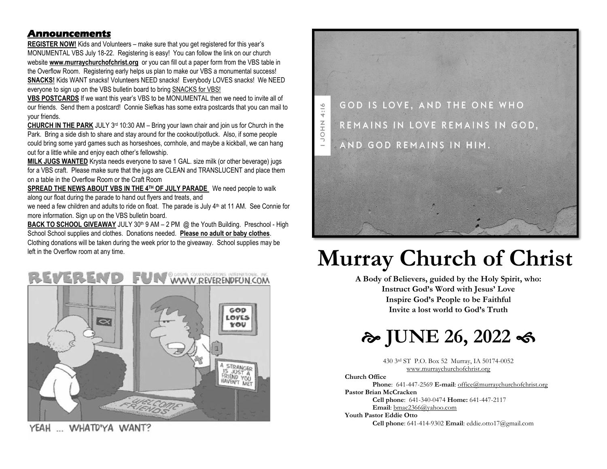#### **Announcements**

**REGISTER NOW!** Kids and Volunteers – make sure that you get registered for this year's MONUMENTAL VBS July 18-22. Registering is easy! You can follow the link on our church website **[www.murraychurchofchrist.org](http://www.murraychurchofchrist.org/)** or you can fill out a paper form from the VBS table in the Overflow Room. Registering early helps us plan to make our VBS a monumental success! **SNACKS!** Kids WANT snacks! Volunteers NEED snacks! Everybody LOVES snacks! We NEED everyone to sign up on the VBS bulletin board to bring SNACKS for VBS!

**VBS POSTCARDS** If we want this year's VBS to be MONUMENTAL then we need to invite all of our friends. Send them a postcard! Connie Siefkas has some extra postcards that you can mail to your friends.

**CHURCH IN THE PARK** JULY 3rd 10:30 AM – Bring your lawn chair and join us for Church in the Park. Bring a side dish to share and stay around for the cookout/potluck. Also, if some people could bring some yard games such as horseshoes, cornhole, and maybe a kickball, we can hang out for a little while and enjoy each other's fellowship.

**MILK JUGS WANTED** Krysta needs everyone to save 1 GAL, size milk (or other beverage) jugs for a VBS craft. Please make sure that the jugs are CLEAN and TRANSLUCENT and place them on a table in the Overflow Room or the Craft Room

**SPREAD THE NEWS ABOUT VBS IN THE 4TH OF JULY PARADE** We need people to walk along our float during the parade to hand out flyers and treats, and

we need a few children and adults to ride on float. The parade is July 4<sup>th</sup> at 11 AM. See Connie for more information. Sign up on the VBS bulletin board.

**BACK TO SCHOOL GIVEAWAY** JULY 30<sup>th</sup> 9 AM – 2 PM @ the Youth Building. Preschool - High School School supplies and clothes. Donations needed. **Please no adult or baby clothes**. Clothing donations will be taken during the week prior to the giveaway. School supplies may be



YEAH ... WHATD'YA WANT?



# left in the Overflow room at any time.<br> **Murray Church of Christ**<br>
A Body of Believers, guided by the Holy Spirit, who:

**A Body of Believers, guided by the Holy Spirit, who: Instruct God's Word with Jesus' Love Inspire God's People to be Faithful Invite a lost world to God's Truth**



430 3rd ST P.O. Box 52 Murray, IA 50174-0052 [www.murraychurchofchrist.org](http://www.murraychurchofchrist.org/)

**Church Office** 

**Phone**: 641-447-2569 **E-mail**[: office@murraychurchofchrist.org](mailto:office@murraychurchofchrist.org) **Pastor Brian McCracken** 

**Cell phone**: 641-340-0474 **Home:** 641-447-2117

**Email**[: bmac2366@yahoo.com](mailto:bmac2366@yahoo.com)

**Youth Pastor Eddie Otto** 

**Cell phone**: 641-414-9302 **Email**: eddie.otto17@gmail.com